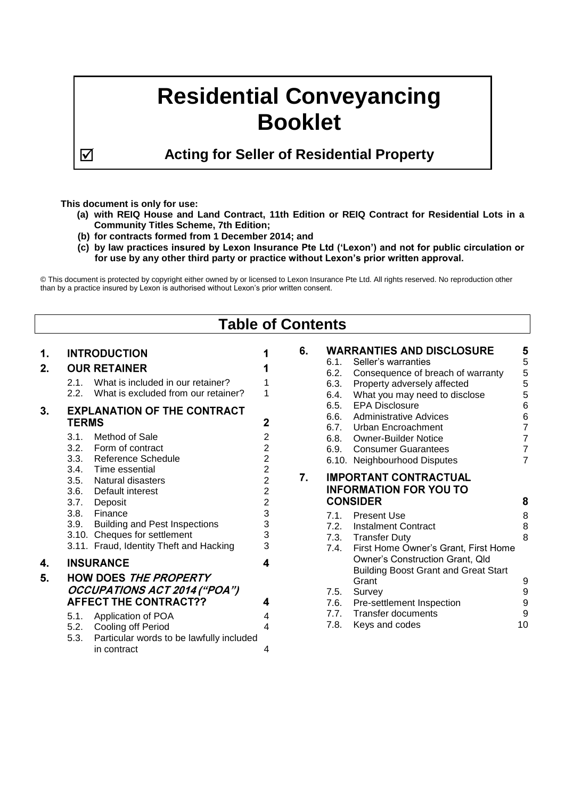# **Residential Conveyancing Booklet**

**Acting for Seller of Residential Property**

# **This document is only for use:**

- **(a) with REIQ House and Land Contract, 11th Edition or REIQ Contract for Residential Lots in a Community Titles Scheme, 7th Edition;**
- **(b) for contracts formed from 1 December 2014; and**
- **(c) by law practices insured by Lexon Insurance Pte Ltd ('Lexon') and not for public circulation or for use by any other third party or practice without Lexon's prior written approval.**

© This document is protected by copyright either owned by or licensed to Lexon Insurance Pte Ltd. All rights reserved. No reproduction other than by a practice insured by Lexon is authorised without Lexon's prior written consent.

| <b>Table of Contents</b> |                                                                                                                                                                                                                                                        |                                                                                                                         |    |                                                                                                                                                                                                                                                                                                       |                                                                                              |  |  |  |
|--------------------------|--------------------------------------------------------------------------------------------------------------------------------------------------------------------------------------------------------------------------------------------------------|-------------------------------------------------------------------------------------------------------------------------|----|-------------------------------------------------------------------------------------------------------------------------------------------------------------------------------------------------------------------------------------------------------------------------------------------------------|----------------------------------------------------------------------------------------------|--|--|--|
| 1.<br>2.                 | <b>INTRODUCTION</b><br><b>OUR RETAINER</b><br>What is included in our retainer?<br>2.1.<br>2.2.<br>What is excluded from our retainer?                                                                                                                 | 1                                                                                                                       | 6. | <b>WARRANTIES AND DISCLOSURE</b><br>6.1.<br>Seller's warranties<br>6.2.<br>Consequence of breach of warranty<br>Property adversely affected<br>6.3.<br>6.4.<br>What you may need to disclose                                                                                                          | 5<br>$\mathbf 5$<br>$\frac{5}{5}$<br>5                                                       |  |  |  |
| 3.                       | <b>EXPLANATION OF THE CONTRACT</b><br><b>TERMS</b><br>Method of Sale<br>3.1.<br>3.2.<br>Form of contract<br>3.3.<br>Reference Schedule<br>3.4.<br>Time essential<br>3.5.<br><b>Natural disasters</b><br>3.6.<br>Default interest<br>3.7.<br>Deposit    | 2<br>2<br>$\overline{\mathbf{c}}$<br>$\overline{\mathbf{c}}$<br>$\overline{c}$<br>2<br>$\overline{2}$<br>$\overline{c}$ | 7. | <b>EPA Disclosure</b><br>6.5.<br>6.6.<br><b>Administrative Advices</b><br>6.7.<br>Urban Encroachment<br>6.8.<br><b>Owner-Builder Notice</b><br>6.9.<br><b>Consumer Guarantees</b><br>6.10. Neighbourhood Disputes<br><b>IMPORTANT CONTRACTUAL</b><br><b>INFORMATION FOR YOU TO</b><br><b>CONSIDER</b> | $\,6$<br>$\, 6$<br>$\overline{7}$<br>$\overline{7}$<br>$\overline{7}$<br>$\overline{7}$<br>8 |  |  |  |
|                          | 3.8.<br>Finance<br><b>Building and Pest Inspections</b><br>3.9.<br>3.10. Cheques for settlement<br>3.11. Fraud, Identity Theft and Hacking                                                                                                             | 3<br>3<br>3<br>3                                                                                                        |    | <b>Present Use</b><br>7.1.<br>7.2.<br><b>Instalment Contract</b><br>7.3.<br><b>Transfer Duty</b><br>First Home Owner's Grant, First Home<br>7.4.                                                                                                                                                      | 8<br>8<br>8                                                                                  |  |  |  |
| 4.<br>5.                 | <b>INSURANCE</b><br><b>HOW DOES THE PROPERTY</b><br><b>OCCUPATIONS ACT 2014 ("POA")</b><br><b>AFFECT THE CONTRACT??</b><br>5.1.<br>Application of POA<br>5.2.<br>Cooling off Period<br>5.3.<br>Particular words to be lawfully included<br>in contract | 4<br>4<br>4<br>4<br>4                                                                                                   |    | Owner's Construction Grant, Qld<br><b>Building Boost Grant and Great Start</b><br>Grant<br>7.5.<br>Survey<br>Pre-settlement Inspection<br>7.6.<br><b>Transfer documents</b><br>7.7.<br>7.8.<br>Keys and codes                                                                                         | 9<br>$\boldsymbol{9}$<br>9<br>$9\,$<br>10                                                    |  |  |  |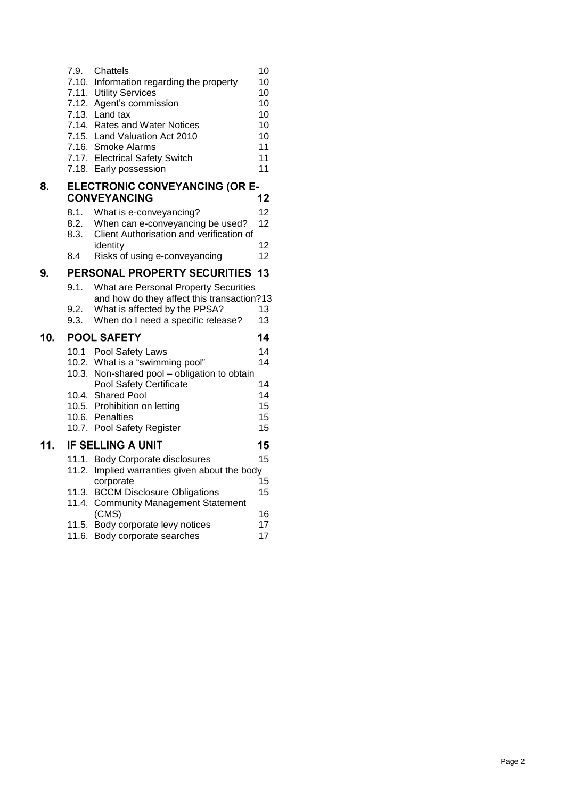|     | 7.9.                                                               | Chattels<br>7.10. Information regarding the property<br>7.11. Utility Services<br>7.12. Agent's commission<br>7.13. Land tax<br>7.14. Rates and Water Notices<br>7.15. Land Valuation Act 2010<br>7.16. Smoke Alarms<br>7.17. Electrical Safety Switch<br>7.18. Early possession | 10<br>10<br>10<br>10<br>10<br>10<br>10<br>11<br>11<br>11 |  |  |  |  |
|-----|--------------------------------------------------------------------|----------------------------------------------------------------------------------------------------------------------------------------------------------------------------------------------------------------------------------------------------------------------------------|----------------------------------------------------------|--|--|--|--|
| 8.  | <b>ELECTRONIC CONVEYANCING (OR E-</b><br><b>CONVEYANCING</b><br>12 |                                                                                                                                                                                                                                                                                  |                                                          |  |  |  |  |
|     |                                                                    |                                                                                                                                                                                                                                                                                  |                                                          |  |  |  |  |
|     | 8.1.<br>8.2.<br>8.3.                                               | What is e-conveyancing?<br>When can e-conveyancing be used?<br>Client Authorisation and verification of                                                                                                                                                                          | 12<br>12                                                 |  |  |  |  |
|     |                                                                    | identity                                                                                                                                                                                                                                                                         | 12                                                       |  |  |  |  |
|     | 8.4                                                                | Risks of using e-conveyancing                                                                                                                                                                                                                                                    | 12                                                       |  |  |  |  |
| 9.  |                                                                    | PERSONAL PROPERTY SECURITIES                                                                                                                                                                                                                                                     | 13                                                       |  |  |  |  |
|     | 9.1.<br>9.2.<br>9.3.                                               | What are Personal Property Securities<br>and how do they affect this transaction?13<br>What is affected by the PPSA?<br>When do I need a specific release?                                                                                                                       | 13<br>13                                                 |  |  |  |  |
| 10. |                                                                    | <b>POOL SAFETY</b>                                                                                                                                                                                                                                                               | 14                                                       |  |  |  |  |
|     |                                                                    | 10.1 Pool Safety Laws                                                                                                                                                                                                                                                            | 14                                                       |  |  |  |  |
|     |                                                                    | 10.2. What is a "swimming pool"                                                                                                                                                                                                                                                  | 14                                                       |  |  |  |  |
|     |                                                                    | 10.3. Non-shared pool - obligation to obtain                                                                                                                                                                                                                                     |                                                          |  |  |  |  |
|     |                                                                    |                                                                                                                                                                                                                                                                                  |                                                          |  |  |  |  |
|     |                                                                    | Pool Safety Certificate                                                                                                                                                                                                                                                          | 14                                                       |  |  |  |  |
|     |                                                                    | 10.4. Shared Pool                                                                                                                                                                                                                                                                | 14                                                       |  |  |  |  |
|     |                                                                    | 10.5. Prohibition on letting                                                                                                                                                                                                                                                     | 15                                                       |  |  |  |  |
|     |                                                                    | 10.6. Penalties                                                                                                                                                                                                                                                                  | 15                                                       |  |  |  |  |
|     |                                                                    | 10.7. Pool Safety Register                                                                                                                                                                                                                                                       | 15                                                       |  |  |  |  |
| 11. |                                                                    | <b>IF SELLING A UNIT</b>                                                                                                                                                                                                                                                         | 15                                                       |  |  |  |  |
|     |                                                                    | 11.1. Body Corporate disclosures                                                                                                                                                                                                                                                 | 15                                                       |  |  |  |  |
|     | 11.2.                                                              | Implied warranties given about the body<br>corporate                                                                                                                                                                                                                             | 15                                                       |  |  |  |  |
|     | 11.4.                                                              | 11.3. BCCM Disclosure Obligations<br><b>Community Management Statement</b>                                                                                                                                                                                                       | 15                                                       |  |  |  |  |
|     |                                                                    | (CMS)                                                                                                                                                                                                                                                                            | 16                                                       |  |  |  |  |
|     | 11.5.                                                              | Body corporate levy notices<br>11.6. Body corporate searches                                                                                                                                                                                                                     | 17<br>17                                                 |  |  |  |  |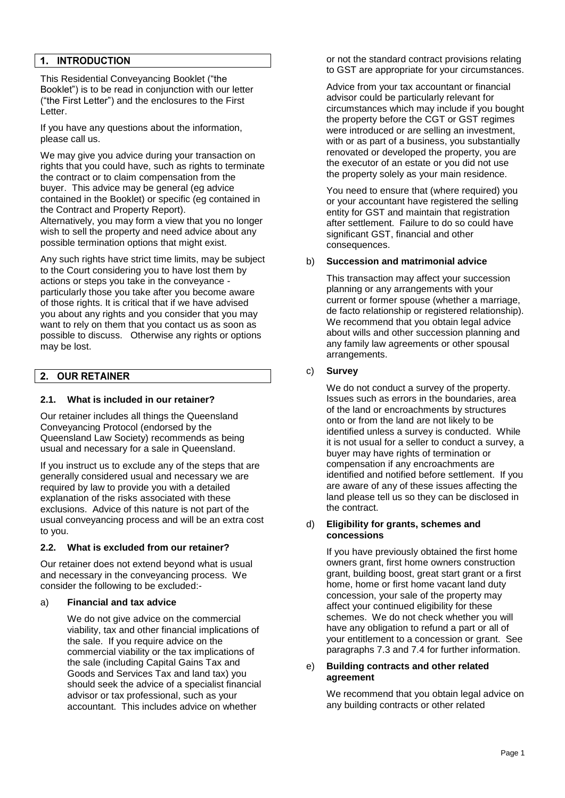# 1. INTRODUCTION

This Residential Conveyancing Booklet ("the Booklet") is to be read in conjunction with our letter ("the First Letter") and the enclosures to the First Letter.

If you have any questions about the information, please call us.

We may give you advice during your transaction on rights that you could have, such as rights to terminate the contract or to claim compensation from the buyer. This advice may be general (eg advice contained in the Booklet) or specific (eg contained in the Contract and Property Report). Alternatively, you may form a view that you no longer wish to sell the property and need advice about any possible termination options that might exist.

Any such rights have strict time limits, may be subject to the Court considering you to have lost them by actions or steps you take in the conveyance particularly those you take after you become aware of those rights. It is critical that if we have advised you about any rights and you consider that you may want to rely on them that you contact us as soon as possible to discuss. Otherwise any rights or options may be lost.

#### **OUR RETAINER**  $2.$

# **2.1. What is included in our retainer?**

Our retainer includes all things the Queensland Conveyancing Protocol (endorsed by the Queensland Law Society) recommends as being usual and necessary for a sale in Queensland.

If you instruct us to exclude any of the steps that are generally considered usual and necessary we are required by law to provide you with a detailed explanation of the risks associated with these exclusions. Advice of this nature is not part of the usual conveyancing process and will be an extra cost to you.

# **2.2. What is excluded from our retainer?**

Our retainer does not extend beyond what is usual and necessary in the conveyancing process. We consider the following to be excluded:-

# a) **Financial and tax advice**

We do not give advice on the commercial viability, tax and other financial implications of the sale. If you require advice on the commercial viability or the tax implications of the sale (including Capital Gains Tax and Goods and Services Tax and land tax) you should seek the advice of a specialist financial advisor or tax professional, such as your accountant. This includes advice on whether

or not the standard contract provisions relating to GST are appropriate for your circumstances.

Advice from your tax accountant or financial advisor could be particularly relevant for circumstances which may include if you bought the property before the CGT or GST regimes were introduced or are selling an investment, with or as part of a business, you substantially renovated or developed the property, you are the executor of an estate or you did not use the property solely as your main residence.

You need to ensure that (where required) you or your accountant have registered the selling entity for GST and maintain that registration after settlement. Failure to do so could have significant GST, financial and other consequences.

# b) **Succession and matrimonial advice**

This transaction may affect your succession planning or any arrangements with your current or former spouse (whether a marriage, de facto relationship or registered relationship). We recommend that you obtain legal advice about wills and other succession planning and any family law agreements or other spousal arrangements.

# c) **Survey**

We do not conduct a survey of the property. Issues such as errors in the boundaries, area of the land or encroachments by structures onto or from the land are not likely to be identified unless a survey is conducted. While it is not usual for a seller to conduct a survey, a buyer may have rights of termination or compensation if any encroachments are identified and notified before settlement. If you are aware of any of these issues affecting the land please tell us so they can be disclosed in the contract.

#### d) **Eligibility for grants, schemes and concessions**

If you have previously obtained the first home owners grant, first home owners construction grant, building boost, great start grant or a first home, home or first home vacant land duty concession, your sale of the property may affect your continued eligibility for these schemes. We do not check whether you will have any obligation to refund a part or all of your entitlement to a concession or grant. See paragraphs [7.3](#page-9-0) and [7.4](#page-10-0) for further information.

#### e) **Building contracts and other related agreement**

We recommend that you obtain legal advice on any building contracts or other related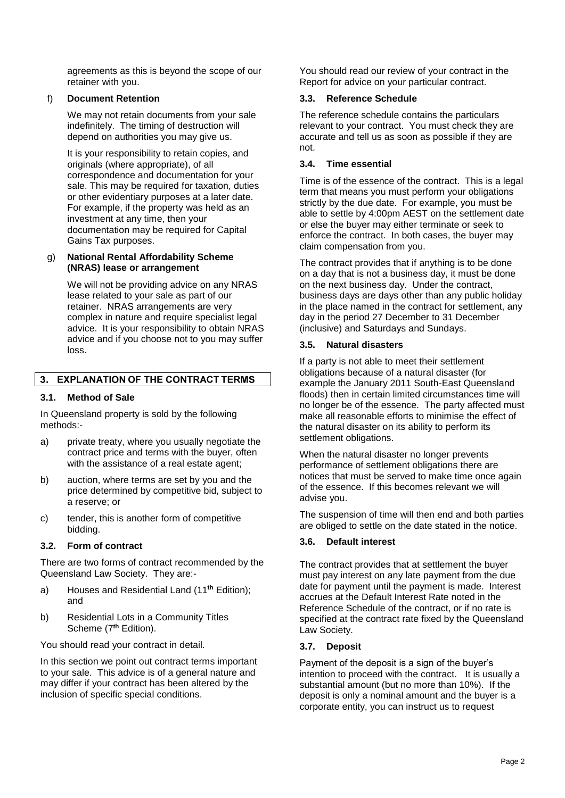agreements as this is beyond the scope of our retainer with you.

# f) **Document Retention**

We may not retain documents from your sale indefinitely. The timing of destruction will depend on authorities you may give us.

It is your responsibility to retain copies, and originals (where appropriate), of all correspondence and documentation for your sale. This may be required for taxation, duties or other evidentiary purposes at a later date. For example, if the property was held as an investment at any time, then your documentation may be required for Capital Gains Tax purposes.

# g) **National Rental Affordability Scheme (NRAS) lease or arrangement**

We will not be providing advice on any NRAS lease related to your sale as part of our retainer. NRAS arrangements are very complex in nature and require specialist legal advice. It is your responsibility to obtain NRAS advice and if you choose not to you may suffer loss.

# 3. EXPLANATION OF THE CONTRACT TERMS

# **3.1. Method of Sale**

In Queensland property is sold by the following methods:-

- a) private treaty, where you usually negotiate the contract price and terms with the buyer, often with the assistance of a real estate agent:
- b) auction, where terms are set by you and the price determined by competitive bid, subject to a reserve; or
- c) tender, this is another form of competitive bidding.

# **3.2. Form of contract**

There are two forms of contract recommended by the Queensland Law Society. They are:-

- a) Houses and Residential Land (11 **th** Edition); and
- b) Residential Lots in a Community Titles Scheme (7 **th** Edition).

You should read your contract in detail.

In this section we point out contract terms important to your sale. This advice is of a general nature and may differ if your contract has been altered by the inclusion of specific special conditions.

You should read our review of your contract in the Report for advice on your particular contract.

# **3.3. Reference Schedule**

The reference schedule contains the particulars relevant to your contract. You must check they are accurate and tell us as soon as possible if they are not.

# **3.4. Time essential**

Time is of the essence of the contract. This is a legal term that means you must perform your obligations strictly by the due date. For example, you must be able to settle by 4:00pm AEST on the settlement date or else the buyer may either terminate or seek to enforce the contract. In both cases, the buyer may claim compensation from you.

The contract provides that if anything is to be done on a day that is not a business day, it must be done on the next business day. Under the contract, business days are days other than any public holiday in the place named in the contract for settlement, any day in the period 27 December to 31 December (inclusive) and Saturdays and Sundays.

# **3.5. Natural disasters**

If a party is not able to meet their settlement obligations because of a natural disaster (for example the January 2011 South-East Queensland floods) then in certain limited circumstances time will no longer be of the essence. The party affected must make all reasonable efforts to minimise the effect of the natural disaster on its ability to perform its settlement obligations.

When the natural disaster no longer prevents performance of settlement obligations there are notices that must be served to make time once again of the essence. If this becomes relevant we will advise you.

The suspension of time will then end and both parties are obliged to settle on the date stated in the notice.

# **3.6. Default interest**

The contract provides that at settlement the buyer must pay interest on any late payment from the due date for payment until the payment is made. Interest accrues at the Default Interest Rate noted in the Reference Schedule of the contract, or if no rate is specified at the contract rate fixed by the Queensland Law Society.

# **3.7. Deposit**

Payment of the deposit is a sign of the buyer's intention to proceed with the contract. It is usually a substantial amount (but no more than 10%). If the deposit is only a nominal amount and the buyer is a corporate entity, you can instruct us to request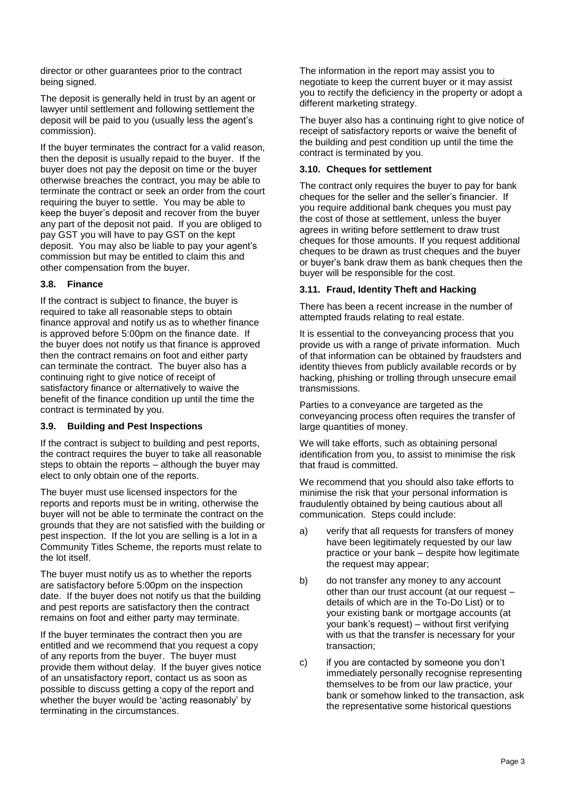director or other guarantees prior to the contract being signed.

The deposit is generally held in trust by an agent or lawyer until settlement and following settlement the deposit will be paid to you (usually less the agent's commission).

If the buyer terminates the contract for a valid reason, then the deposit is usually repaid to the buyer. If the buyer does not pay the deposit on time or the buyer otherwise breaches the contract, you may be able to terminate the contract or seek an order from the court requiring the buyer to settle. You may be able to keep the buyer's deposit and recover from the buyer any part of the deposit not paid. If you are obliged to pay GST you will have to pay GST on the kept deposit. You may also be liable to pay your agent's commission but may be entitled to claim this and other compensation from the buyer.

# **3.8. Finance**

If the contract is subject to finance, the buyer is required to take all reasonable steps to obtain finance approval and notify us as to whether finance is approved before 5:00pm on the finance date. If the buyer does not notify us that finance is approved then the contract remains on foot and either party can terminate the contract. The buyer also has a continuing right to give notice of receipt of satisfactory finance or alternatively to waive the benefit of the finance condition up until the time the contract is terminated by you.

# **3.9. Building and Pest Inspections**

If the contract is subject to building and pest reports, the contract requires the buyer to take all reasonable steps to obtain the reports – although the buyer may elect to only obtain one of the reports.

The buyer must use licensed inspectors for the reports and reports must be in writing, otherwise the buyer will not be able to terminate the contract on the grounds that they are not satisfied with the building or pest inspection. If the lot you are selling is a lot in a Community Titles Scheme, the reports must relate to the lot itself.

The buyer must notify us as to whether the reports are satisfactory before 5:00pm on the inspection date. If the buyer does not notify us that the building and pest reports are satisfactory then the contract remains on foot and either party may terminate.

If the buyer terminates the contract then you are entitled and we recommend that you request a copy of any reports from the buyer. The buyer must provide them without delay. If the buyer gives notice of an unsatisfactory report, contact us as soon as possible to discuss getting a copy of the report and whether the buyer would be 'acting reasonably' by terminating in the circumstances.

The information in the report may assist you to negotiate to keep the current buyer or it may assist you to rectify the deficiency in the property or adopt a different marketing strategy.

The buyer also has a continuing right to give notice of receipt of satisfactory reports or waive the benefit of the building and pest condition up until the time the contract is terminated by you.

# **3.10. Cheques for settlement**

The contract only requires the buyer to pay for bank cheques for the seller and the seller's financier. If you require additional bank cheques you must pay the cost of those at settlement, unless the buyer agrees in writing before settlement to draw trust cheques for those amounts. If you request additional cheques to be drawn as trust cheques and the buyer or buyer's bank draw them as bank cheques then the buyer will be responsible for the cost.

# **3.11. Fraud, Identity Theft and Hacking**

There has been a recent increase in the number of attempted frauds relating to real estate.

It is essential to the conveyancing process that you provide us with a range of private information. Much of that information can be obtained by fraudsters and identity thieves from publicly available records or by hacking, phishing or trolling through unsecure email transmissions.

Parties to a conveyance are targeted as the conveyancing process often requires the transfer of large quantities of money.

We will take efforts, such as obtaining personal identification from you, to assist to minimise the risk that fraud is committed.

We recommend that you should also take efforts to minimise the risk that your personal information is fraudulently obtained by being cautious about all communication. Steps could include:

- a) verify that all requests for transfers of money have been legitimately requested by our law practice or your bank – despite how legitimate the request may appear;
- b) do not transfer any money to any account other than our trust account (at our request – details of which are in the To-Do List) or to your existing bank or mortgage accounts (at your bank's request) – without first verifying with us that the transfer is necessary for your transaction;
- c) if you are contacted by someone you don't immediately personally recognise representing themselves to be from our law practice, your bank or somehow linked to the transaction, ask the representative some historical questions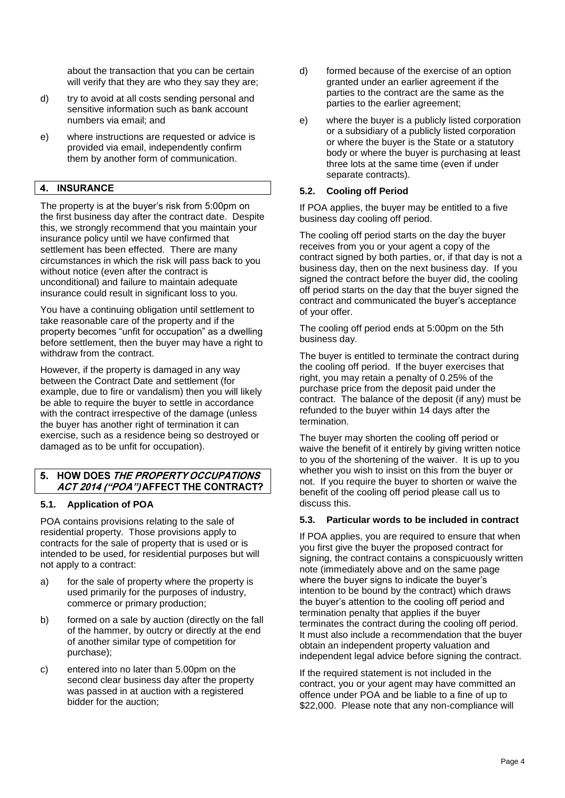about the transaction that you can be certain will verify that they are who they say they are;

- d) try to avoid at all costs sending personal and sensitive information such as bank account numbers via email; and
- e) where instructions are requested or advice is provided via email, independently confirm them by another form of communication.

# 4. INSURANCE

The property is at the buyer's risk from 5:00pm on the first business day after the contract date. Despite this, we strongly recommend that you maintain your insurance policy until we have confirmed that settlement has been effected. There are many circumstances in which the risk will pass back to you without notice (even after the contract is unconditional) and failure to maintain adequate insurance could result in significant loss to you.

You have a continuing obligation until settlement to take reasonable care of the property and if the property becomes "unfit for occupation" as a dwelling before settlement, then the buyer may have a right to withdraw from the contract.

However, if the property is damaged in any way between the Contract Date and settlement (for example, due to fire or vandalism) then you will likely be able to require the buyer to settle in accordance with the contract irrespective of the damage (unless the buyer has another right of termination it can exercise, such as a residence being so destroyed or damaged as to be unfit for occupation).

# 5. HOW DOES THE PROPERTY OCCUPATIONS ACT 2014 ("POA") AFFECT THE CONTRACT?

# **5.1. Application of POA**

POA contains provisions relating to the sale of residential property. Those provisions apply to contracts for the sale of property that is used or is intended to be used, for residential purposes but will not apply to a contract:

- a) for the sale of property where the property is used primarily for the purposes of industry, commerce or primary production;
- b) formed on a sale by auction (directly on the fall of the hammer, by outcry or directly at the end of another similar type of competition for purchase);
- c) entered into no later than 5.00pm on the second clear business day after the property was passed in at auction with a registered bidder for the auction;
- d) formed because of the exercise of an option granted under an earlier agreement if the parties to the contract are the same as the parties to the earlier agreement;
- e) where the buyer is a publicly listed corporation or a subsidiary of a publicly listed corporation or where the buyer is the State or a statutory body or where the buyer is purchasing at least three lots at the same time (even if under separate contracts).

#### **5.2. Cooling off Period**

If POA applies, the buyer may be entitled to a five business day cooling off period.

The cooling off period starts on the day the buyer receives from you or your agent a copy of the contract signed by both parties, or, if that day is not a business day, then on the next business day. If you signed the contract before the buyer did, the cooling off period starts on the day that the buyer signed the contract and communicated the buyer's acceptance of your offer.

The cooling off period ends at 5:00pm on the 5th business day.

The buyer is entitled to terminate the contract during the cooling off period. If the buyer exercises that right, you may retain a penalty of 0.25% of the purchase price from the deposit paid under the contract. The balance of the deposit (if any) must be refunded to the buyer within 14 days after the termination.

The buyer may shorten the cooling off period or waive the benefit of it entirely by giving written notice to you of the shortening of the waiver. It is up to you whether you wish to insist on this from the buyer or not. If you require the buyer to shorten or waive the benefit of the cooling off period please call us to discuss this.

# **5.3. Particular words to be included in contract**

If POA applies, you are required to ensure that when you first give the buyer the proposed contract for signing, the contract contains a conspicuously written note (immediately above and on the same page where the buyer signs to indicate the buyer's intention to be bound by the contract) which draws the buyer's attention to the cooling off period and termination penalty that applies if the buyer terminates the contract during the cooling off period. It must also include a recommendation that the buyer obtain an independent property valuation and independent legal advice before signing the contract.

If the required statement is not included in the contract, you or your agent may have committed an offence under POA and be liable to a fine of up to \$22,000. Please note that any non-compliance will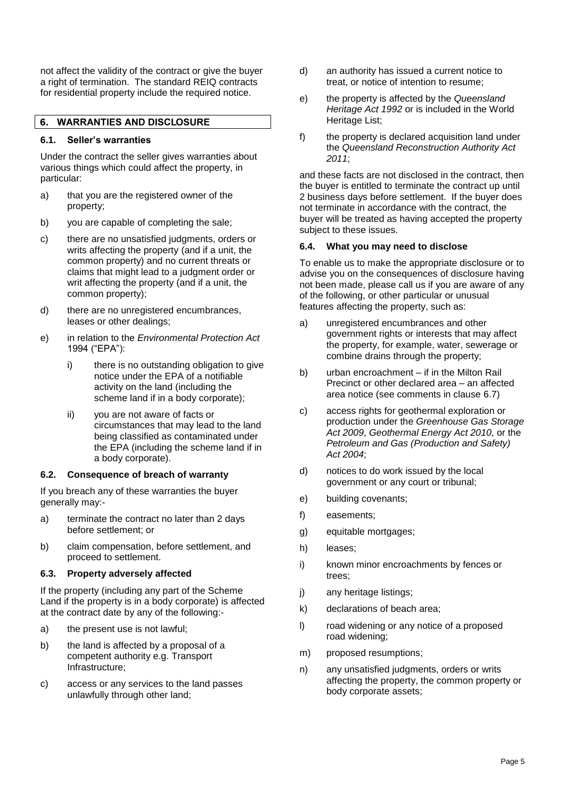not affect the validity of the contract or give the buyer a right of termination. The standard REIQ contracts for residential property include the required notice.

#### **WARRANTIES AND DISCLOSURE** 6.

#### **6.1. Seller's warranties**

Under the contract the seller gives warranties about various things which could affect the property, in particular:

- a) that you are the registered owner of the property;
- b) you are capable of completing the sale;
- c) there are no unsatisfied judgments, orders or writs affecting the property (and if a unit, the common property) and no current threats or claims that might lead to a judgment order or writ affecting the property (and if a unit, the common property);
- d) there are no unregistered encumbrances, leases or other dealings;
- e) in relation to the *Environmental Protection Act* 1994 ("EPA"):
	- i) there is no outstanding obligation to give notice under the EPA of a notifiable activity on the land (including the scheme land if in a body corporate);
	- ii) you are not aware of facts or circumstances that may lead to the land being classified as contaminated under the EPA (including the scheme land if in a body corporate).

# **6.2. Consequence of breach of warranty**

If you breach any of these warranties the buyer generally may:-

- a) terminate the contract no later than 2 days before settlement; or
- b) claim compensation, before settlement, and proceed to settlement.

# **6.3. Property adversely affected**

If the property (including any part of the Scheme Land if the property is in a body corporate) is affected at the contract date by any of the following:-

- a) the present use is not lawful;
- b) the land is affected by a proposal of a competent authority e.g. Transport Infrastructure;
- c) access or any services to the land passes unlawfully through other land;
- d) an authority has issued a current notice to treat, or notice of intention to resume;
- e) the property is affected by the *Queensland Heritage Act 1992* or is included in the World Heritage List;
- f) the property is declared acquisition land under the *Queensland Reconstruction Authority Act 2011*;

and these facts are not disclosed in the contract, then the buyer is entitled to terminate the contract up until 2 business days before settlement. If the buyer does not terminate in accordance with the contract, the buyer will be treated as having accepted the property subject to these issues.

#### **6.4. What you may need to disclose**

To enable us to make the appropriate disclosure or to advise you on the consequences of disclosure having not been made, please call us if you are aware of any of the following, or other particular or unusual features affecting the property, such as:

- a) unregistered encumbrances and other government rights or interests that may affect the property, for example, water, sewerage or combine drains through the property;
- b) urban encroachment if in the Milton Rail Precinct or other declared area – an affected area notice (see comments in clause [6.7\)](#page-8-0)
- c) access rights for geothermal exploration or production under the *Greenhouse Gas Storage Act 2009*, *Geothermal Energy Act 2010*, or the *Petroleum and Gas (Production and Safety) Act 2004*;
- d) notices to do work issued by the local government or any court or tribunal;
- e) building covenants;
- f) easements;
- g) equitable mortgages;
- h) leases;
- i) known minor encroachments by fences or trees;
- j) any heritage listings;
- k) declarations of beach area;
- l) road widening or any notice of a proposed road widening;
- m) proposed resumptions;
- n) any unsatisfied judgments, orders or writs affecting the property, the common property or body corporate assets;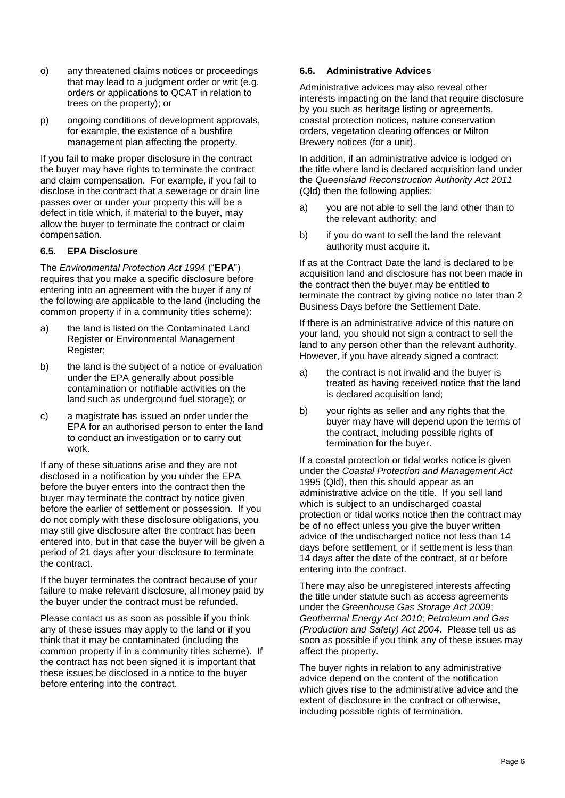- o) any threatened claims notices or proceedings that may lead to a judgment order or writ (e.g. orders or applications to QCAT in relation to trees on the property); or
- p) ongoing conditions of development approvals, for example, the existence of a bushfire management plan affecting the property.

If you fail to make proper disclosure in the contract the buyer may have rights to terminate the contract and claim compensation. For example, if you fail to disclose in the contract that a sewerage or drain line passes over or under your property this will be a defect in title which, if material to the buyer, may allow the buyer to terminate the contract or claim compensation.

# **6.5. EPA Disclosure**

The *Environmental Protection Act 1994* ("**EPA**") requires that you make a specific disclosure before entering into an agreement with the buyer if any of the following are applicable to the land (including the common property if in a community titles scheme):

- a) the land is listed on the Contaminated Land Register or Environmental Management Register;
- b) the land is the subject of a notice or evaluation under the EPA generally about possible contamination or notifiable activities on the land such as underground fuel storage); or
- c) a magistrate has issued an order under the EPA for an authorised person to enter the land to conduct an investigation or to carry out work.

If any of these situations arise and they are not disclosed in a notification by you under the EPA before the buyer enters into the contract then the buyer may terminate the contract by notice given before the earlier of settlement or possession. If you do not comply with these disclosure obligations, you may still give disclosure after the contract has been entered into, but in that case the buyer will be given a period of 21 days after your disclosure to terminate the contract.

If the buyer terminates the contract because of your failure to make relevant disclosure, all money paid by the buyer under the contract must be refunded.

Please contact us as soon as possible if you think any of these issues may apply to the land or if you think that it may be contaminated (including the common property if in a community titles scheme). If the contract has not been signed it is important that these issues be disclosed in a notice to the buyer before entering into the contract.

# **6.6. Administrative Advices**

Administrative advices may also reveal other interests impacting on the land that require disclosure by you such as heritage listing or agreements, coastal protection notices, nature conservation orders, vegetation clearing offences or Milton Brewery notices (for a unit).

In addition, if an administrative advice is lodged on the title where land is declared acquisition land under the *Queensland Reconstruction Authority Act 2011* (Qld) then the following applies:

- a) you are not able to sell the land other than to the relevant authority; and
- b) if you do want to sell the land the relevant authority must acquire it.

If as at the Contract Date the land is declared to be acquisition land and disclosure has not been made in the contract then the buyer may be entitled to terminate the contract by giving notice no later than 2 Business Days before the Settlement Date.

If there is an administrative advice of this nature on your land, you should not sign a contract to sell the land to any person other than the relevant authority. However, if you have already signed a contract:

- a) the contract is not invalid and the buyer is treated as having received notice that the land is declared acquisition land;
- b) your rights as seller and any rights that the buyer may have will depend upon the terms of the contract, including possible rights of termination for the buyer.

If a coastal protection or tidal works notice is given under the *Coastal Protection and Management Act* 1995 (Qld), then this should appear as an administrative advice on the title. If you sell land which is subject to an undischarged coastal protection or tidal works notice then the contract may be of no effect unless you give the buyer written advice of the undischarged notice not less than 14 days before settlement, or if settlement is less than 14 days after the date of the contract, at or before entering into the contract.

There may also be unregistered interests affecting the title under statute such as access agreements under the *Greenhouse Gas Storage Act 2009*; *Geothermal Energy Act 2010*; *Petroleum and Gas (Production and Safety) Act 2004*. Please tell us as soon as possible if you think any of these issues may affect the property.

The buyer rights in relation to any administrative advice depend on the content of the notification which gives rise to the administrative advice and the extent of disclosure in the contract or otherwise, including possible rights of termination.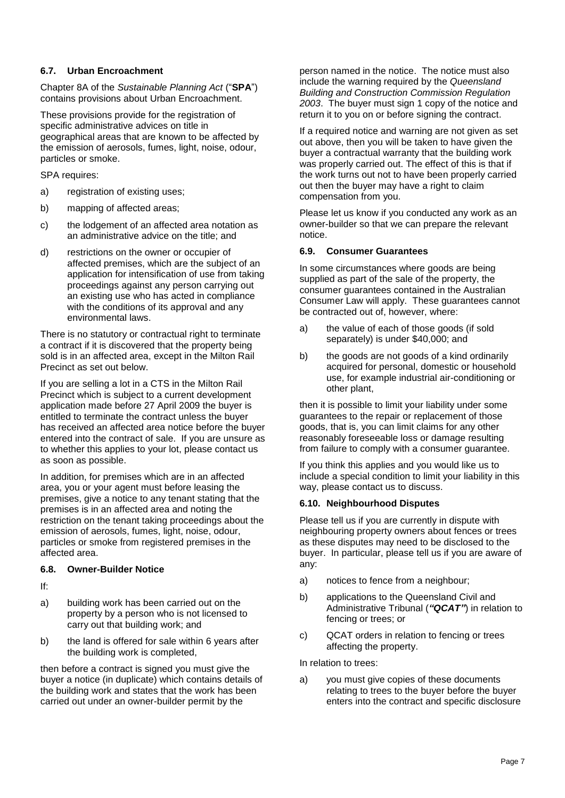# <span id="page-8-0"></span>**6.7. Urban Encroachment**

Chapter 8A of the *Sustainable Planning Act* ("**SPA**") contains provisions about Urban Encroachment.

These provisions provide for the registration of specific administrative advices on title in geographical areas that are known to be affected by the emission of aerosols, fumes, light, noise, odour, particles or smoke.

SPA requires:

- a) registration of existing uses;
- b) mapping of affected areas;
- c) the lodgement of an affected area notation as an administrative advice on the title; and
- d) restrictions on the owner or occupier of affected premises, which are the subject of an application for intensification of use from taking proceedings against any person carrying out an existing use who has acted in compliance with the conditions of its approval and any environmental laws.

There is no statutory or contractual right to terminate a contract if it is discovered that the property being sold is in an affected area, except in the Milton Rail Precinct as set out below.

If you are selling a lot in a CTS in the Milton Rail Precinct which is subject to a current development application made before 27 April 2009 the buyer is entitled to terminate the contract unless the buyer has received an affected area notice before the buyer entered into the contract of sale. If you are unsure as to whether this applies to your lot, please contact us as soon as possible.

In addition, for premises which are in an affected area, you or your agent must before leasing the premises, give a notice to any tenant stating that the premises is in an affected area and noting the restriction on the tenant taking proceedings about the emission of aerosols, fumes, light, noise, odour, particles or smoke from registered premises in the affected area.

# **6.8. Owner-Builder Notice**

If:

- a) building work has been carried out on the property by a person who is not licensed to carry out that building work; and
- b) the land is offered for sale within 6 years after the building work is completed,

then before a contract is signed you must give the buyer a notice (in duplicate) which contains details of the building work and states that the work has been carried out under an owner-builder permit by the

person named in the notice. The notice must also include the warning required by the *Queensland Building and Construction Commission Regulation 2003*. The buyer must sign 1 copy of the notice and return it to you on or before signing the contract.

If a required notice and warning are not given as set out above, then you will be taken to have given the buyer a contractual warranty that the building work was properly carried out. The effect of this is that if the work turns out not to have been properly carried out then the buyer may have a right to claim compensation from you.

Please let us know if you conducted any work as an owner-builder so that we can prepare the relevant notice.

#### **6.9. Consumer Guarantees**

In some circumstances where goods are being supplied as part of the sale of the property, the consumer guarantees contained in the Australian Consumer Law will apply. These guarantees cannot be contracted out of, however, where:

- a) the value of each of those goods (if sold separately) is under \$40,000; and
- b) the goods are not goods of a kind ordinarily acquired for personal, domestic or household use, for example industrial air-conditioning or other plant,

then it is possible to limit your liability under some guarantees to the repair or replacement of those goods, that is, you can limit claims for any other reasonably foreseeable loss or damage resulting from failure to comply with a consumer guarantee.

If you think this applies and you would like us to include a special condition to limit your liability in this way, please contact us to discuss.

# **6.10. Neighbourhood Disputes**

Please tell us if you are currently in dispute with neighbouring property owners about fences or trees as these disputes may need to be disclosed to the buyer. In particular, please tell us if you are aware of any:

- a) notices to fence from a neighbour;
- b) applications to the Queensland Civil and Administrative Tribunal (*"QCAT"*) in relation to fencing or trees; or
- c) QCAT orders in relation to fencing or trees affecting the property.

In relation to trees:

a) you must give copies of these documents relating to trees to the buyer before the buyer enters into the contract and specific disclosure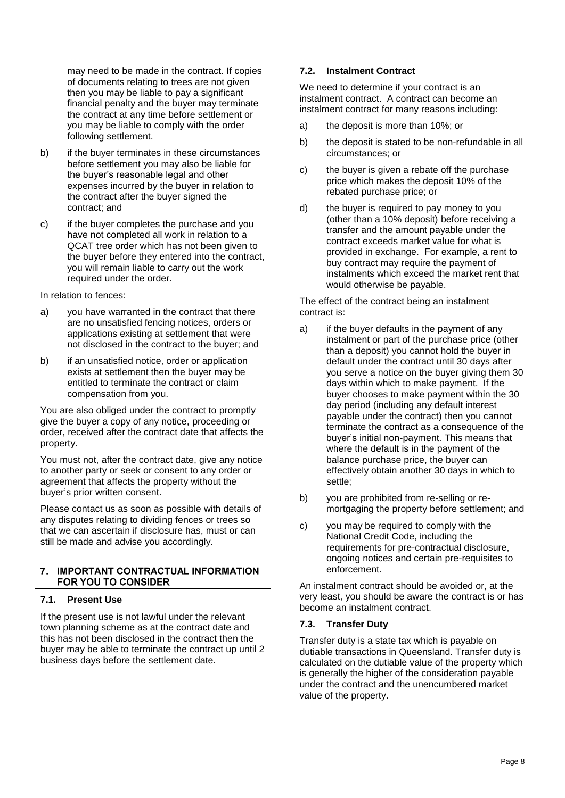may need to be made in the contract. If copies of documents relating to trees are not given then you may be liable to pay a significant financial penalty and the buyer may terminate the contract at any time before settlement or you may be liable to comply with the order following settlement.

- b) if the buyer terminates in these circumstances before settlement you may also be liable for the buyer's reasonable legal and other expenses incurred by the buyer in relation to the contract after the buyer signed the contract; and
- c) if the buyer completes the purchase and you have not completed all work in relation to a QCAT tree order which has not been given to the buyer before they entered into the contract, you will remain liable to carry out the work required under the order.

In relation to fences:

- a) vou have warranted in the contract that there are no unsatisfied fencing notices, orders or applications existing at settlement that were not disclosed in the contract to the buyer; and
- b) if an unsatisfied notice, order or application exists at settlement then the buyer may be entitled to terminate the contract or claim compensation from you.

You are also obliged under the contract to promptly give the buyer a copy of any notice, proceeding or order, received after the contract date that affects the property.

You must not, after the contract date, give any notice to another party or seek or consent to any order or agreement that affects the property without the buyer's prior written consent.

Please contact us as soon as possible with details of any disputes relating to dividing fences or trees so that we can ascertain if disclosure has, must or can still be made and advise you accordingly.

# 7. IMPORTANT CONTRACTUAL INFORMATION **FOR YOU TO CONSIDER**

# **7.1. Present Use**

If the present use is not lawful under the relevant town planning scheme as at the contract date and this has not been disclosed in the contract then the buyer may be able to terminate the contract up until 2 business days before the settlement date.

# **7.2. Instalment Contract**

We need to determine if your contract is an instalment contract. A contract can become an instalment contract for many reasons including:

- a) the deposit is more than 10%; or
- b) the deposit is stated to be non-refundable in all circumstances; or
- c) the buyer is given a rebate off the purchase price which makes the deposit 10% of the rebated purchase price; or
- d) the buyer is required to pay money to you (other than a 10% deposit) before receiving a transfer and the amount payable under the contract exceeds market value for what is provided in exchange. For example, a rent to buy contract may require the payment of instalments which exceed the market rent that would otherwise be payable.

The effect of the contract being an instalment contract is:

- a) if the buyer defaults in the payment of any instalment or part of the purchase price (other than a deposit) you cannot hold the buyer in default under the contract until 30 days after you serve a notice on the buyer giving them 30 days within which to make payment. If the buyer chooses to make payment within the 30 day period (including any default interest payable under the contract) then you cannot terminate the contract as a consequence of the buyer's initial non-payment. This means that where the default is in the payment of the balance purchase price, the buyer can effectively obtain another 30 days in which to settle;
- b) you are prohibited from re-selling or remortgaging the property before settlement; and
- c) you may be required to comply with the National Credit Code, including the requirements for pre-contractual disclosure, ongoing notices and certain pre-requisites to enforcement.

An instalment contract should be avoided or, at the very least, you should be aware the contract is or has become an instalment contract.

# <span id="page-9-0"></span>**7.3. Transfer Duty**

Transfer duty is a state tax which is payable on dutiable transactions in Queensland. Transfer duty is calculated on the dutiable value of the property which is generally the higher of the consideration payable under the contract and the unencumbered market value of the property.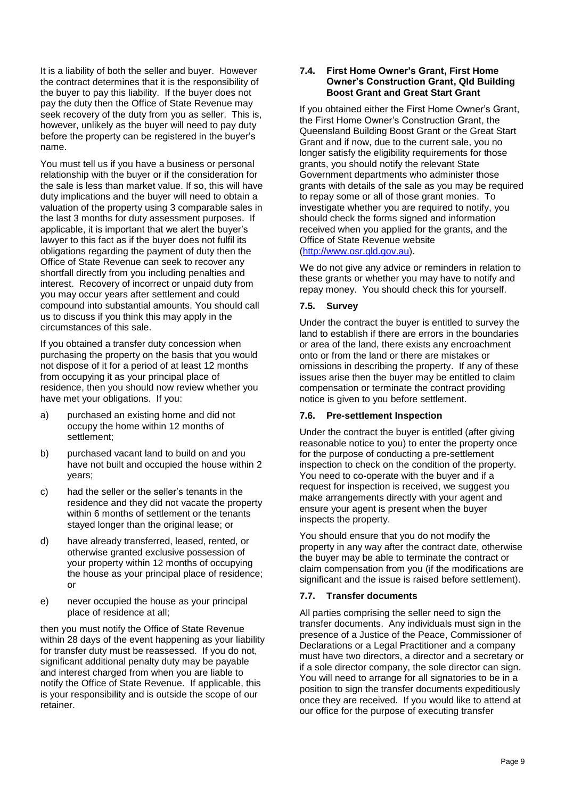It is a liability of both the seller and buyer. However the contract determines that it is the responsibility of the buyer to pay this liability. If the buyer does not pay the duty then the Office of State Revenue may seek recovery of the duty from you as seller. This is, however, unlikely as the buyer will need to pay duty before the property can be registered in the buyer's name.

You must tell us if you have a business or personal relationship with the buyer or if the consideration for the sale is less than market value. If so, this will have duty implications and the buyer will need to obtain a valuation of the property using 3 comparable sales in the last 3 months for duty assessment purposes. If applicable, it is important that we alert the buyer's lawyer to this fact as if the buyer does not fulfil its obligations regarding the payment of duty then the Office of State Revenue can seek to recover any shortfall directly from you including penalties and interest. Recovery of incorrect or unpaid duty from you may occur years after settlement and could compound into substantial amounts. You should call us to discuss if you think this may apply in the circumstances of this sale.

If you obtained a transfer duty concession when purchasing the property on the basis that you would not dispose of it for a period of at least 12 months from occupying it as your principal place of residence, then you should now review whether you have met your obligations. If you:

- a) purchased an existing home and did not occupy the home within 12 months of settlement;
- b) purchased vacant land to build on and you have not built and occupied the house within 2 years;
- c) had the seller or the seller's tenants in the residence and they did not vacate the property within 6 months of settlement or the tenants stayed longer than the original lease; or
- d) have already transferred, leased, rented, or otherwise granted exclusive possession of your property within 12 months of occupying the house as your principal place of residence; or
- e) never occupied the house as your principal place of residence at all;

then you must notify the Office of State Revenue within 28 days of the event happening as your liability for transfer duty must be reassessed. If you do not, significant additional penalty duty may be payable and interest charged from when you are liable to notify the Office of State Revenue. If applicable, this is your responsibility and is outside the scope of our retainer.

#### <span id="page-10-0"></span>**7.4. First Home Owner's Grant, First Home Owner's Construction Grant, Qld Building Boost Grant and Great Start Grant**

If you obtained either the First Home Owner's Grant, the First Home Owner's Construction Grant, the Queensland Building Boost Grant or the Great Start Grant and if now, due to the current sale, you no longer satisfy the eligibility requirements for those grants, you should notify the relevant State Government departments who administer those grants with details of the sale as you may be required to repay some or all of those grant monies. To investigate whether you are required to notify, you should check the forms signed and information received when you applied for the grants, and the Office of State Revenue website [\(http://www.osr.qld.gov.au\)](http://www.osr.qld.gov.au/).

We do not give any advice or reminders in relation to these grants or whether you may have to notify and repay money. You should check this for yourself.

# **7.5. Survey**

Under the contract the buyer is entitled to survey the land to establish if there are errors in the boundaries or area of the land, there exists any encroachment onto or from the land or there are mistakes or omissions in describing the property. If any of these issues arise then the buyer may be entitled to claim compensation or terminate the contract providing notice is given to you before settlement.

# **7.6. Pre-settlement Inspection**

Under the contract the buyer is entitled (after giving reasonable notice to you) to enter the property once for the purpose of conducting a pre-settlement inspection to check on the condition of the property. You need to co-operate with the buyer and if a request for inspection is received, we suggest you make arrangements directly with your agent and ensure your agent is present when the buyer inspects the property.

You should ensure that you do not modify the property in any way after the contract date, otherwise the buyer may be able to terminate the contract or claim compensation from you (if the modifications are significant and the issue is raised before settlement).

# **7.7. Transfer documents**

All parties comprising the seller need to sign the transfer documents. Any individuals must sign in the presence of a Justice of the Peace, Commissioner of Declarations or a Legal Practitioner and a company must have two directors, a director and a secretary or if a sole director company, the sole director can sign. You will need to arrange for all signatories to be in a position to sign the transfer documents expeditiously once they are received. If you would like to attend at our office for the purpose of executing transfer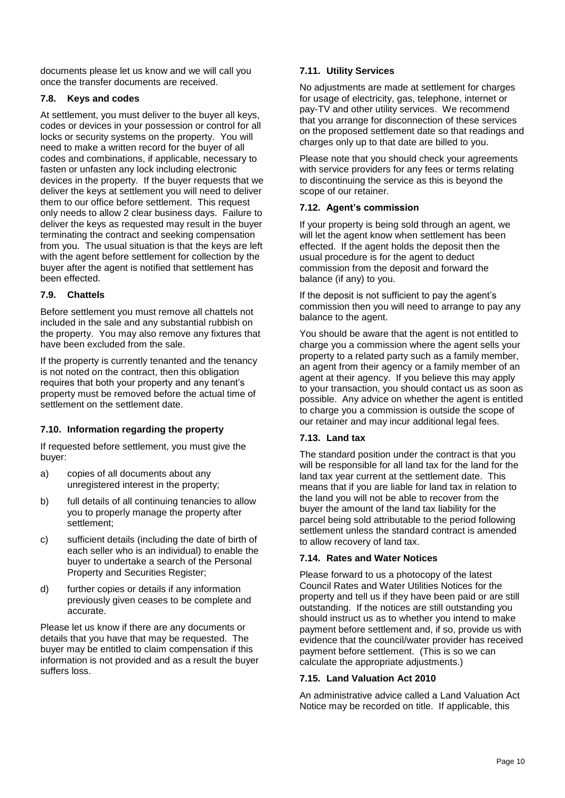documents please let us know and we will call you once the transfer documents are received.

# **7.8. Keys and codes**

At settlement, you must deliver to the buyer all keys, codes or devices in your possession or control for all locks or security systems on the property. You will need to make a written record for the buyer of all codes and combinations, if applicable, necessary to fasten or unfasten any lock including electronic devices in the property. If the buyer requests that we deliver the keys at settlement you will need to deliver them to our office before settlement. This request only needs to allow 2 clear business days. Failure to deliver the keys as requested may result in the buyer terminating the contract and seeking compensation from you. The usual situation is that the keys are left with the agent before settlement for collection by the buyer after the agent is notified that settlement has been effected.

# **7.9. Chattels**

Before settlement you must remove all chattels not included in the sale and any substantial rubbish on the property. You may also remove any fixtures that have been excluded from the sale.

If the property is currently tenanted and the tenancy is not noted on the contract, then this obligation requires that both your property and any tenant's property must be removed before the actual time of settlement on the settlement date.

# **7.10. Information regarding the property**

If requested before settlement, you must give the buyer:

- a) copies of all documents about any unregistered interest in the property;
- b) full details of all continuing tenancies to allow you to properly manage the property after settlement;
- c) sufficient details (including the date of birth of each seller who is an individual) to enable the buyer to undertake a search of the Personal Property and Securities Register;
- d) further copies or details if any information previously given ceases to be complete and accurate.

Please let us know if there are any documents or details that you have that may be requested. The buyer may be entitled to claim compensation if this information is not provided and as a result the buyer suffers loss.

# **7.11. Utility Services**

No adjustments are made at settlement for charges for usage of electricity, gas, telephone, internet or pay-TV and other utility services. We recommend that you arrange for disconnection of these services on the proposed settlement date so that readings and charges only up to that date are billed to you.

Please note that you should check your agreements with service providers for any fees or terms relating to discontinuing the service as this is beyond the scope of our retainer.

# **7.12. Agent's commission**

If your property is being sold through an agent, we will let the agent know when settlement has been effected. If the agent holds the deposit then the usual procedure is for the agent to deduct commission from the deposit and forward the balance (if any) to you.

If the deposit is not sufficient to pay the agent's commission then you will need to arrange to pay any balance to the agent.

You should be aware that the agent is not entitled to charge you a commission where the agent sells your property to a related party such as a family member, an agent from their agency or a family member of an agent at their agency. If you believe this may apply to your transaction, you should contact us as soon as possible. Any advice on whether the agent is entitled to charge you a commission is outside the scope of our retainer and may incur additional legal fees.

# **7.13. Land tax**

The standard position under the contract is that you will be responsible for all land tax for the land for the land tax year current at the settlement date. This means that if you are liable for land tax in relation to the land you will not be able to recover from the buyer the amount of the land tax liability for the parcel being sold attributable to the period following settlement unless the standard contract is amended to allow recovery of land tax.

# **7.14. Rates and Water Notices**

Please forward to us a photocopy of the latest Council Rates and Water Utilities Notices for the property and tell us if they have been paid or are still outstanding. If the notices are still outstanding you should instruct us as to whether you intend to make payment before settlement and, if so, provide us with evidence that the council/water provider has received payment before settlement. (This is so we can calculate the appropriate adjustments.)

# **7.15. Land Valuation Act 2010**

An administrative advice called a Land Valuation Act Notice may be recorded on title. If applicable, this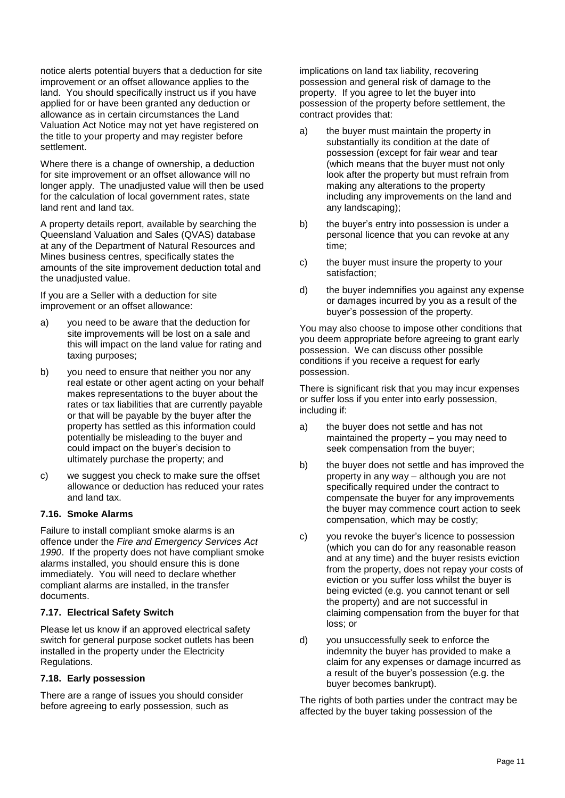notice alerts potential buyers that a deduction for site improvement or an offset allowance applies to the land. You should specifically instruct us if you have applied for or have been granted any deduction or allowance as in certain circumstances the Land Valuation Act Notice may not yet have registered on the title to your property and may register before settlement.

Where there is a change of ownership, a deduction for site improvement or an offset allowance will no longer apply. The unadjusted value will then be used for the calculation of local government rates, state land rent and land tax.

A property details report, available by searching the Queensland Valuation and Sales (QVAS) database at any of the Department of Natural Resources and Mines business centres, specifically states the amounts of the site improvement deduction total and the unadjusted value.

If you are a Seller with a deduction for site improvement or an offset allowance:

- a) you need to be aware that the deduction for site improvements will be lost on a sale and this will impact on the land value for rating and taxing purposes;
- b) you need to ensure that neither you nor any real estate or other agent acting on your behalf makes representations to the buyer about the rates or tax liabilities that are currently payable or that will be payable by the buyer after the property has settled as this information could potentially be misleading to the buyer and could impact on the buyer's decision to ultimately purchase the property; and
- c) we suggest you check to make sure the offset allowance or deduction has reduced your rates and land tax.

# **7.16. Smoke Alarms**

Failure to install compliant smoke alarms is an offence under the *Fire and Emergency Services Act 1990*. If the property does not have compliant smoke alarms installed, you should ensure this is done immediately. You will need to declare whether compliant alarms are installed, in the transfer documents.

# **7.17. Electrical Safety Switch**

Please let us know if an approved electrical safety switch for general purpose socket outlets has been installed in the property under the Electricity Regulations.

# **7.18. Early possession**

There are a range of issues you should consider before agreeing to early possession, such as

implications on land tax liability, recovering possession and general risk of damage to the property. If you agree to let the buyer into possession of the property before settlement, the contract provides that:

- a) the buyer must maintain the property in substantially its condition at the date of possession (except for fair wear and tear (which means that the buyer must not only look after the property but must refrain from making any alterations to the property including any improvements on the land and any landscaping);
- b) the buyer's entry into possession is under a personal licence that you can revoke at any time;
- c) the buyer must insure the property to your satisfaction;
- d) the buyer indemnifies you against any expense or damages incurred by you as a result of the buyer's possession of the property.

You may also choose to impose other conditions that you deem appropriate before agreeing to grant early possession. We can discuss other possible conditions if you receive a request for early possession.

There is significant risk that you may incur expenses or suffer loss if you enter into early possession, including if:

- a) the buyer does not settle and has not maintained the property – you may need to seek compensation from the buyer;
- b) the buyer does not settle and has improved the property in any way – although you are not specifically required under the contract to compensate the buyer for any improvements the buyer may commence court action to seek compensation, which may be costly;
- c) you revoke the buyer's licence to possession (which you can do for any reasonable reason and at any time) and the buyer resists eviction from the property, does not repay your costs of eviction or you suffer loss whilst the buyer is being evicted (e.g. you cannot tenant or sell the property) and are not successful in claiming compensation from the buyer for that loss; or
- d) you unsuccessfully seek to enforce the indemnity the buyer has provided to make a claim for any expenses or damage incurred as a result of the buyer's possession (e.g. the buyer becomes bankrupt).

The rights of both parties under the contract may be affected by the buyer taking possession of the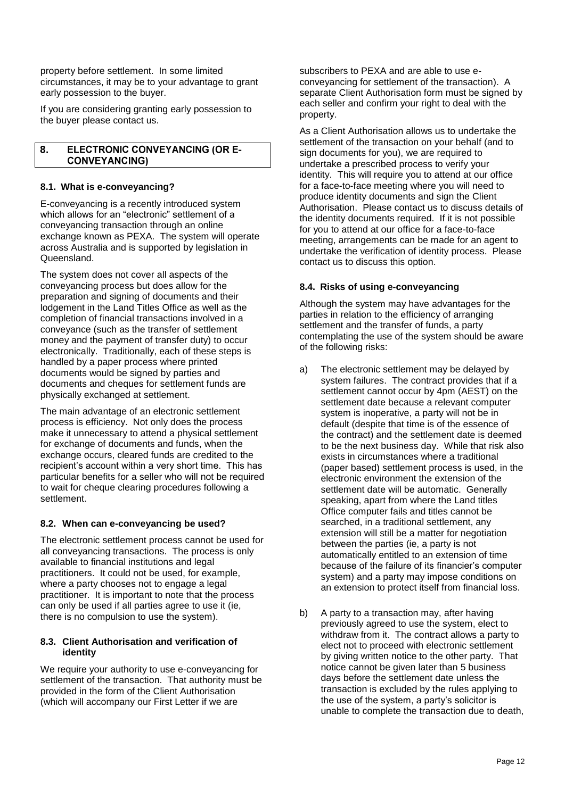property before settlement. In some limited circumstances, it may be to your advantage to grant early possession to the buyer.

If you are considering granting early possession to the buyer please contact us.

#### 8. **ELECTRONIC CONVEYANCING (OR E-CONVEYANCING)**

# **8.1. What is e-conveyancing?**

E-conveyancing is a recently introduced system which allows for an "electronic" settlement of a conveyancing transaction through an online exchange known as PEXA. The system will operate across Australia and is supported by legislation in **Queensland** 

The system does not cover all aspects of the conveyancing process but does allow for the preparation and signing of documents and their lodgement in the Land Titles Office as well as the completion of financial transactions involved in a conveyance (such as the transfer of settlement money and the payment of transfer duty) to occur electronically. Traditionally, each of these steps is handled by a paper process where printed documents would be signed by parties and documents and cheques for settlement funds are physically exchanged at settlement.

The main advantage of an electronic settlement process is efficiency. Not only does the process make it unnecessary to attend a physical settlement for exchange of documents and funds, when the exchange occurs, cleared funds are credited to the recipient's account within a very short time. This has particular benefits for a seller who will not be required to wait for cheque clearing procedures following a settlement.

# **8.2. When can e-conveyancing be used?**

The electronic settlement process cannot be used for all conveyancing transactions. The process is only available to financial institutions and legal practitioners. It could not be used, for example, where a party chooses not to engage a legal practitioner. It is important to note that the process can only be used if all parties agree to use it (ie, there is no compulsion to use the system).

# **8.3. Client Authorisation and verification of identity**

We require your authority to use e-conveyancing for settlement of the transaction. That authority must be provided in the form of the Client Authorisation (which will accompany our First Letter if we are

subscribers to PEXA and are able to use econveyancing for settlement of the transaction). A separate Client Authorisation form must be signed by each seller and confirm your right to deal with the property.

As a Client Authorisation allows us to undertake the settlement of the transaction on your behalf (and to sign documents for you), we are required to undertake a prescribed process to verify your identity. This will require you to attend at our office for a face-to-face meeting where you will need to produce identity documents and sign the Client Authorisation. Please contact us to discuss details of the identity documents required. If it is not possible for you to attend at our office for a face-to-face meeting, arrangements can be made for an agent to undertake the verification of identity process. Please contact us to discuss this option.

# **8.4. Risks of using e-conveyancing**

Although the system may have advantages for the parties in relation to the efficiency of arranging settlement and the transfer of funds, a party contemplating the use of the system should be aware of the following risks:

- a) The electronic settlement may be delayed by system failures. The contract provides that if a settlement cannot occur by 4pm (AEST) on the settlement date because a relevant computer system is inoperative, a party will not be in default (despite that time is of the essence of the contract) and the settlement date is deemed to be the next business day. While that risk also exists in circumstances where a traditional (paper based) settlement process is used, in the electronic environment the extension of the settlement date will be automatic. Generally speaking, apart from where the Land titles Office computer fails and titles cannot be searched, in a traditional settlement, any extension will still be a matter for negotiation between the parties (ie, a party is not automatically entitled to an extension of time because of the failure of its financier's computer system) and a party may impose conditions on an extension to protect itself from financial loss.
- b) A party to a transaction may, after having previously agreed to use the system, elect to withdraw from it. The contract allows a party to elect not to proceed with electronic settlement by giving written notice to the other party. That notice cannot be given later than 5 business days before the settlement date unless the transaction is excluded by the rules applying to the use of the system, a party's solicitor is unable to complete the transaction due to death,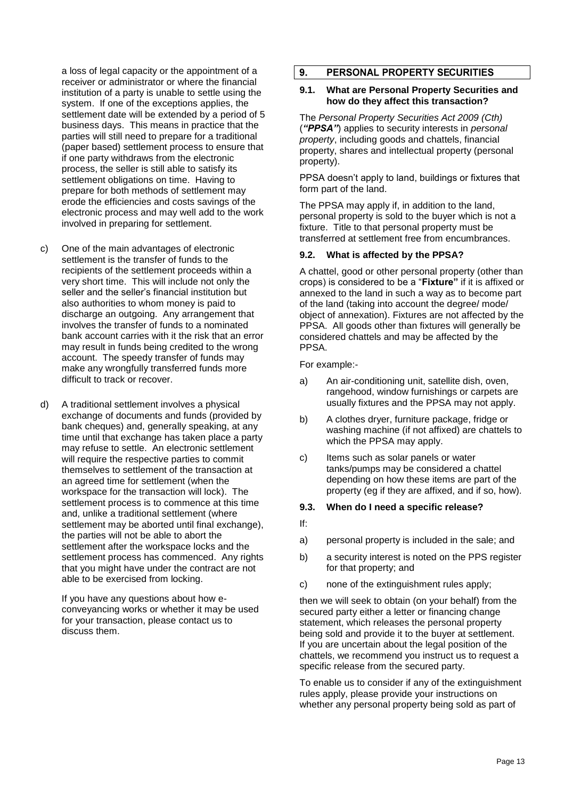a loss of legal capacity or the appointment of a receiver or administrator or where the financial institution of a party is unable to settle using the system. If one of the exceptions applies, the settlement date will be extended by a period of 5 business days. This means in practice that the parties will still need to prepare for a traditional (paper based) settlement process to ensure that if one party withdraws from the electronic process, the seller is still able to satisfy its settlement obligations on time. Having to prepare for both methods of settlement may erode the efficiencies and costs savings of the electronic process and may well add to the work involved in preparing for settlement.

- c) One of the main advantages of electronic settlement is the transfer of funds to the recipients of the settlement proceeds within a very short time. This will include not only the seller and the seller's financial institution but also authorities to whom money is paid to discharge an outgoing. Any arrangement that involves the transfer of funds to a nominated bank account carries with it the risk that an error may result in funds being credited to the wrong account. The speedy transfer of funds may make any wrongfully transferred funds more difficult to track or recover.
- d) A traditional settlement involves a physical exchange of documents and funds (provided by bank cheques) and, generally speaking, at any time until that exchange has taken place a party may refuse to settle. An electronic settlement will require the respective parties to commit themselves to settlement of the transaction at an agreed time for settlement (when the workspace for the transaction will lock). The settlement process is to commence at this time and, unlike a traditional settlement (where settlement may be aborted until final exchange), the parties will not be able to abort the settlement after the workspace locks and the settlement process has commenced. Any rights that you might have under the contract are not able to be exercised from locking.

If you have any questions about how econveyancing works or whether it may be used for your transaction, please contact us to discuss them.

#### $\overline{9}$ . **PERSONAL PROPERTY SECURITIES**

#### **9.1. What are Personal Property Securities and how do they affect this transaction?**

The *Personal Property Securities Act 2009 (Cth)* (*"PPSA"*) applies to security interests in *personal property*, including goods and chattels, financial property, shares and intellectual property (personal property).

PPSA doesn't apply to land, buildings or fixtures that form part of the land.

The PPSA may apply if, in addition to the land, personal property is sold to the buyer which is not a fixture. Title to that personal property must be transferred at settlement free from encumbrances.

#### **9.2. What is affected by the PPSA?**

A chattel, good or other personal property (other than crops) is considered to be a "**Fixture"** if it is affixed or annexed to the land in such a way as to become part of the land (taking into account the degree/ mode/ object of annexation). Fixtures are not affected by the PPSA. All goods other than fixtures will generally be considered chattels and may be affected by the PPSA.

For example:-

- a) An air-conditioning unit, satellite dish, oven, rangehood, window furnishings or carpets are usually fixtures and the PPSA may not apply.
- b) A clothes dryer, furniture package, fridge or washing machine (if not affixed) are chattels to which the PPSA may apply.
- c) Items such as solar panels or water tanks/pumps may be considered a chattel depending on how these items are part of the property (eg if they are affixed, and if so, how).

#### **9.3. When do I need a specific release?**

- If:
- a) personal property is included in the sale; and
- b) a security interest is noted on the PPS register for that property; and
- c) none of the extinguishment rules apply;

then we will seek to obtain (on your behalf) from the secured party either a letter or financing change statement, which releases the personal property being sold and provide it to the buyer at settlement. If you are uncertain about the legal position of the chattels, we recommend you instruct us to request a specific release from the secured party.

To enable us to consider if any of the extinguishment rules apply, please provide your instructions on whether any personal property being sold as part of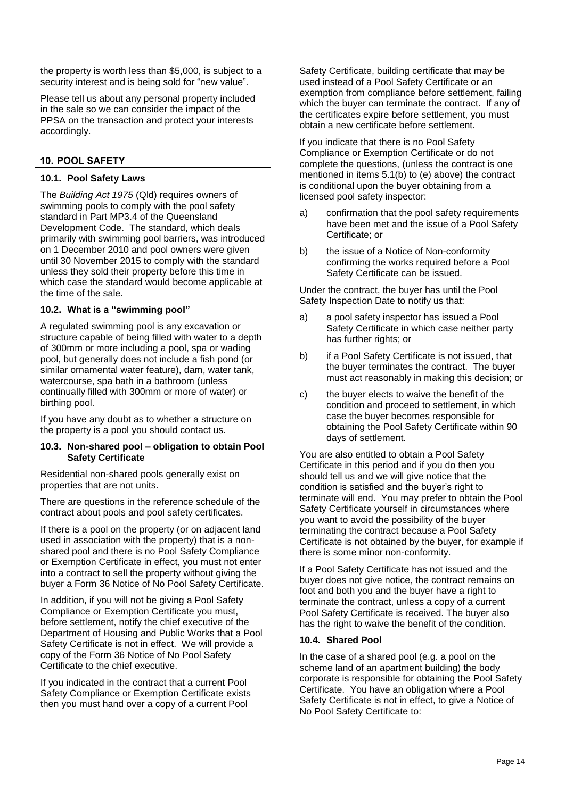the property is worth less than \$5,000, is subject to a security interest and is being sold for "new value".

Please tell us about any personal property included in the sale so we can consider the impact of the PPSA on the transaction and protect your interests accordingly.

# 10. POOL SAFETY

#### **10.1. Pool Safety Laws**

The *Building Act 1975* (Qld) requires owners of swimming pools to comply with the pool safety standard in Part MP3.4 of the Queensland Development Code. The standard, which deals primarily with swimming pool barriers, was introduced on 1 December 2010 and pool owners were given until 30 November 2015 to comply with the standard unless they sold their property before this time in which case the standard would become applicable at the time of the sale.

# **10.2. What is a "swimming pool"**

A regulated swimming pool is any excavation or structure capable of being filled with water to a depth of 300mm or more including a pool, spa or wading pool, but generally does not include a fish pond (or similar ornamental water feature), dam, water tank, watercourse, spa bath in a bathroom (unless continually filled with 300mm or more of water) or birthing pool.

If you have any doubt as to whether a structure on the property is a pool you should contact us.

#### **10.3. Non-shared pool – obligation to obtain Pool Safety Certificate**

Residential non-shared pools generally exist on properties that are not units.

There are questions in the reference schedule of the contract about pools and pool safety certificates.

If there is a pool on the property (or on adjacent land used in association with the property) that is a nonshared pool and there is no Pool Safety Compliance or Exemption Certificate in effect, you must not enter into a contract to sell the property without giving the buyer a Form 36 Notice of No Pool Safety Certificate.

In addition, if you will not be giving a Pool Safety Compliance or Exemption Certificate you must, before settlement, notify the chief executive of the Department of Housing and Public Works that a Pool Safety Certificate is not in effect. We will provide a copy of the Form 36 Notice of No Pool Safety Certificate to the chief executive.

If you indicated in the contract that a current Pool Safety Compliance or Exemption Certificate exists then you must hand over a copy of a current Pool

Safety Certificate, building certificate that may be used instead of a Pool Safety Certificate or an exemption from compliance before settlement, failing which the buyer can terminate the contract. If any of the certificates expire before settlement, you must obtain a new certificate before settlement.

If you indicate that there is no Pool Safety Compliance or Exemption Certificate or do not complete the questions, (unless the contract is one mentioned in items 5.1(b) to (e) above) the contract is conditional upon the buyer obtaining from a licensed pool safety inspector:

- a) confirmation that the pool safety requirements have been met and the issue of a Pool Safety Certificate; or
- b) the issue of a Notice of Non-conformity confirming the works required before a Pool Safety Certificate can be issued.

Under the contract, the buyer has until the Pool Safety Inspection Date to notify us that:

- a) a pool safety inspector has issued a Pool Safety Certificate in which case neither party has further rights; or
- b) if a Pool Safety Certificate is not issued, that the buyer terminates the contract. The buyer must act reasonably in making this decision; or
- c) the buyer elects to waive the benefit of the condition and proceed to settlement, in which case the buyer becomes responsible for obtaining the Pool Safety Certificate within 90 days of settlement.

You are also entitled to obtain a Pool Safety Certificate in this period and if you do then you should tell us and we will give notice that the condition is satisfied and the buyer's right to terminate will end. You may prefer to obtain the Pool Safety Certificate yourself in circumstances where you want to avoid the possibility of the buyer terminating the contract because a Pool Safety Certificate is not obtained by the buyer, for example if there is some minor non-conformity.

If a Pool Safety Certificate has not issued and the buyer does not give notice, the contract remains on foot and both you and the buyer have a right to terminate the contract, unless a copy of a current Pool Safety Certificate is received. The buyer also has the right to waive the benefit of the condition.

#### **10.4. Shared Pool**

In the case of a shared pool (e.g. a pool on the scheme land of an apartment building) the body corporate is responsible for obtaining the Pool Safety Certificate. You have an obligation where a Pool Safety Certificate is not in effect, to give a Notice of No Pool Safety Certificate to: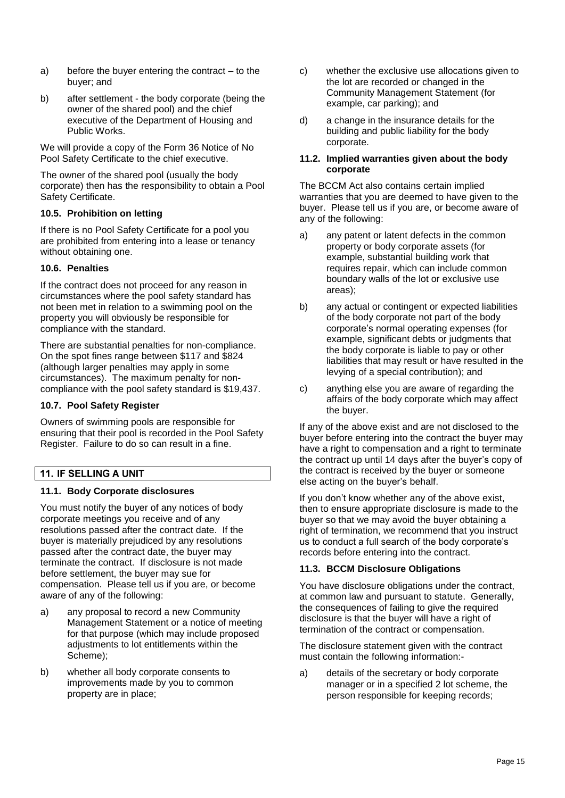- a) before the buyer entering the contract to the buyer; and
- b) after settlement the body corporate (being the owner of the shared pool) and the chief executive of the Department of Housing and Public Works.

We will provide a copy of the Form 36 Notice of No Pool Safety Certificate to the chief executive.

The owner of the shared pool (usually the body corporate) then has the responsibility to obtain a Pool Safety Certificate.

# **10.5. Prohibition on letting**

If there is no Pool Safety Certificate for a pool you are prohibited from entering into a lease or tenancy without obtaining one.

# **10.6. Penalties**

If the contract does not proceed for any reason in circumstances where the pool safety standard has not been met in relation to a swimming pool on the property you will obviously be responsible for compliance with the standard.

There are substantial penalties for non-compliance. On the spot fines range between \$117 and \$824 (although larger penalties may apply in some circumstances). The maximum penalty for noncompliance with the pool safety standard is \$19,437.

#### **10.7. Pool Safety Register**

Owners of swimming pools are responsible for ensuring that their pool is recorded in the Pool Safety Register. Failure to do so can result in a fine.

# **11. IF SELLING A UNIT**

# **11.1. Body Corporate disclosures**

You must notify the buyer of any notices of body corporate meetings you receive and of any resolutions passed after the contract date. If the buyer is materially prejudiced by any resolutions passed after the contract date, the buyer may terminate the contract. If disclosure is not made before settlement, the buyer may sue for compensation. Please tell us if you are, or become aware of any of the following:

- a) any proposal to record a new Community Management Statement or a notice of meeting for that purpose (which may include proposed adjustments to lot entitlements within the Scheme);
- b) whether all body corporate consents to improvements made by you to common property are in place;
- c) whether the exclusive use allocations given to the lot are recorded or changed in the Community Management Statement (for example, car parking); and
- d) a change in the insurance details for the building and public liability for the body corporate.

#### **11.2. Implied warranties given about the body corporate**

The BCCM Act also contains certain implied warranties that you are deemed to have given to the buyer. Please tell us if you are, or become aware of any of the following:

- a) any patent or latent defects in the common property or body corporate assets (for example, substantial building work that requires repair, which can include common boundary walls of the lot or exclusive use areas);
- b) any actual or contingent or expected liabilities of the body corporate not part of the body corporate's normal operating expenses (for example, significant debts or judgments that the body corporate is liable to pay or other liabilities that may result or have resulted in the levying of a special contribution); and
- c) anything else you are aware of regarding the affairs of the body corporate which may affect the buyer.

If any of the above exist and are not disclosed to the buyer before entering into the contract the buyer may have a right to compensation and a right to terminate the contract up until 14 days after the buyer's copy of the contract is received by the buyer or someone else acting on the buyer's behalf.

If you don't know whether any of the above exist, then to ensure appropriate disclosure is made to the buyer so that we may avoid the buyer obtaining a right of termination, we recommend that you instruct us to conduct a full search of the body corporate's records before entering into the contract.

# **11.3. BCCM Disclosure Obligations**

You have disclosure obligations under the contract, at common law and pursuant to statute. Generally, the consequences of failing to give the required disclosure is that the buyer will have a right of termination of the contract or compensation.

The disclosure statement given with the contract must contain the following information:-

a) details of the secretary or body corporate manager or in a specified 2 lot scheme, the person responsible for keeping records;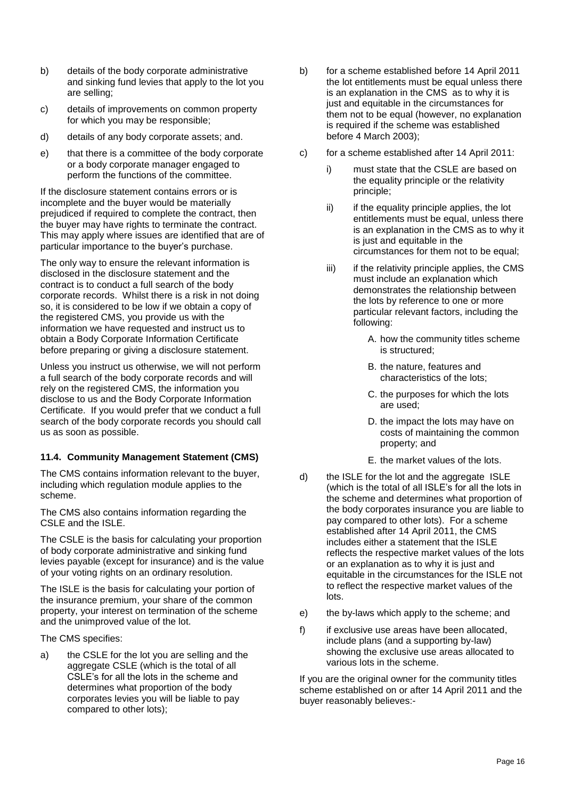- b) details of the body corporate administrative and sinking fund levies that apply to the lot you are selling;
- c) details of improvements on common property for which you may be responsible;
- d) details of any body corporate assets; and.
- e) that there is a committee of the body corporate or a body corporate manager engaged to perform the functions of the committee.

If the disclosure statement contains errors or is incomplete and the buyer would be materially prejudiced if required to complete the contract, then the buyer may have rights to terminate the contract. This may apply where issues are identified that are of particular importance to the buyer's purchase.

The only way to ensure the relevant information is disclosed in the disclosure statement and the contract is to conduct a full search of the body corporate records. Whilst there is a risk in not doing so, it is considered to be low if we obtain a copy of the registered CMS, you provide us with the information we have requested and instruct us to obtain a Body Corporate Information Certificate before preparing or giving a disclosure statement.

Unless you instruct us otherwise, we will not perform a full search of the body corporate records and will rely on the registered CMS, the information you disclose to us and the Body Corporate Information Certificate. If you would prefer that we conduct a full search of the body corporate records you should call us as soon as possible.

# **11.4. Community Management Statement (CMS)**

The CMS contains information relevant to the buyer, including which regulation module applies to the scheme.

The CMS also contains information regarding the CSLE and the ISLE.

The CSLE is the basis for calculating your proportion of body corporate administrative and sinking fund levies payable (except for insurance) and is the value of your voting rights on an ordinary resolution.

The ISLE is the basis for calculating your portion of the insurance premium, your share of the common property, your interest on termination of the scheme and the unimproved value of the lot.

The CMS specifies:

a) the CSLE for the lot you are selling and the aggregate CSLE (which is the total of all CSLE's for all the lots in the scheme and determines what proportion of the body corporates levies you will be liable to pay compared to other lots);

- b) for a scheme established before 14 April 2011 the lot entitlements must be equal unless there is an explanation in the CMS as to why it is just and equitable in the circumstances for them not to be equal (however, no explanation is required if the scheme was established before 4 March 2003);
- c) for a scheme established after 14 April 2011:
	- i) must state that the CSLE are based on the equality principle or the relativity principle;
	- ii) if the equality principle applies, the lot entitlements must be equal, unless there is an explanation in the CMS as to why it is just and equitable in the circumstances for them not to be equal;
	- $iii)$  if the relativity principle applies, the CMS must include an explanation which demonstrates the relationship between the lots by reference to one or more particular relevant factors, including the following:
		- A. how the community titles scheme is structured;
		- B. the nature, features and characteristics of the lots;
		- C. the purposes for which the lots are used;
		- D. the impact the lots may have on costs of maintaining the common property; and
		- E. the market values of the lots.
- d) the ISLE for the lot and the aggregate ISLE (which is the total of all ISLE's for all the lots in the scheme and determines what proportion of the body corporates insurance you are liable to pay compared to other lots). For a scheme established after 14 April 2011, the CMS includes either a statement that the ISLE reflects the respective market values of the lots or an explanation as to why it is just and equitable in the circumstances for the ISLE not to reflect the respective market values of the lots.
- e) the by-laws which apply to the scheme; and
- f) if exclusive use areas have been allocated, include plans (and a supporting by-law) showing the exclusive use areas allocated to various lots in the scheme.

If you are the original owner for the community titles scheme established on or after 14 April 2011 and the buyer reasonably believes:-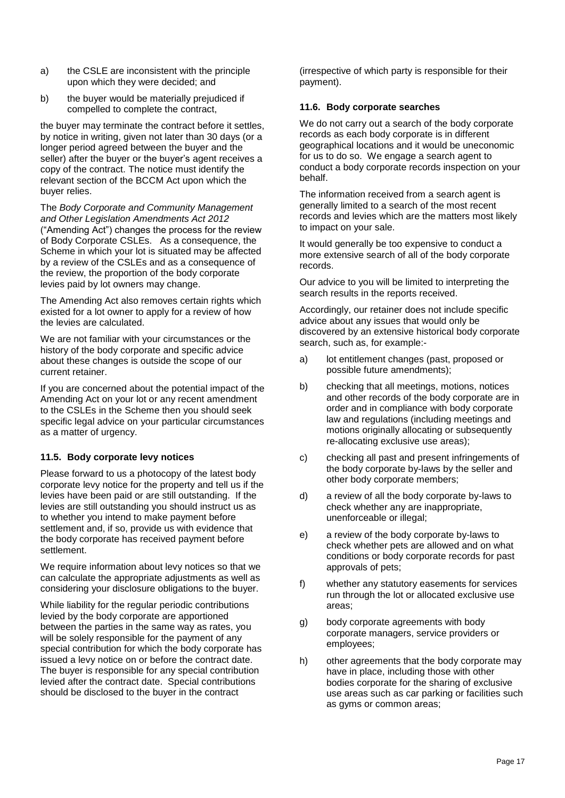- a) the CSLE are inconsistent with the principle upon which they were decided; and
- b) the buyer would be materially prejudiced if compelled to complete the contract,

the buyer may terminate the contract before it settles, by notice in writing, given not later than 30 days (or a longer period agreed between the buyer and the seller) after the buyer or the buyer's agent receives a copy of the contract. The notice must identify the relevant section of the BCCM Act upon which the buyer relies.

The *Body Corporate and Community Management and Other Legislation Amendments Act 2012* ("Amending Act") changes the process for the review of Body Corporate CSLEs. As a consequence, the Scheme in which your lot is situated may be affected by a review of the CSLEs and as a consequence of the review, the proportion of the body corporate levies paid by lot owners may change.

The Amending Act also removes certain rights which existed for a lot owner to apply for a review of how the levies are calculated.

We are not familiar with your circumstances or the history of the body corporate and specific advice about these changes is outside the scope of our current retainer.

If you are concerned about the potential impact of the Amending Act on your lot or any recent amendment to the CSLEs in the Scheme then you should seek specific legal advice on your particular circumstances as a matter of urgency.

# **11.5. Body corporate levy notices**

Please forward to us a photocopy of the latest body corporate levy notice for the property and tell us if the levies have been paid or are still outstanding. If the levies are still outstanding you should instruct us as to whether you intend to make payment before settlement and, if so, provide us with evidence that the body corporate has received payment before settlement.

We require information about levy notices so that we can calculate the appropriate adjustments as well as considering your disclosure obligations to the buyer.

While liability for the regular periodic contributions levied by the body corporate are apportioned between the parties in the same way as rates, you will be solely responsible for the payment of any special contribution for which the body corporate has issued a levy notice on or before the contract date. The buyer is responsible for any special contribution levied after the contract date. Special contributions should be disclosed to the buyer in the contract

(irrespective of which party is responsible for their payment).

#### **11.6. Body corporate searches**

We do not carry out a search of the body corporate records as each body corporate is in different geographical locations and it would be uneconomic for us to do so. We engage a search agent to conduct a body corporate records inspection on your behalf.

The information received from a search agent is generally limited to a search of the most recent records and levies which are the matters most likely to impact on your sale.

It would generally be too expensive to conduct a more extensive search of all of the body corporate records.

Our advice to you will be limited to interpreting the search results in the reports received.

Accordingly, our retainer does not include specific advice about any issues that would only be discovered by an extensive historical body corporate search, such as, for example:-

- a) lot entitlement changes (past, proposed or possible future amendments);
- b) checking that all meetings, motions, notices and other records of the body corporate are in order and in compliance with body corporate law and regulations (including meetings and motions originally allocating or subsequently re-allocating exclusive use areas);
- c) checking all past and present infringements of the body corporate by-laws by the seller and other body corporate members;
- d) a review of all the body corporate by-laws to check whether any are inappropriate, unenforceable or illegal;
- e) a review of the body corporate by-laws to check whether pets are allowed and on what conditions or body corporate records for past approvals of pets;
- f) whether any statutory easements for services run through the lot or allocated exclusive use areas;
- g) body corporate agreements with body corporate managers, service providers or employees;
- h) other agreements that the body corporate may have in place, including those with other bodies corporate for the sharing of exclusive use areas such as car parking or facilities such as gyms or common areas;